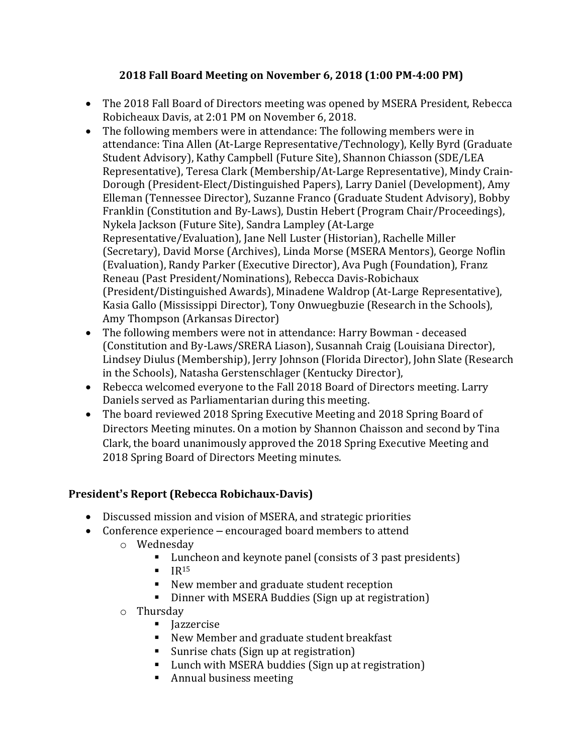# **2018 Fall Board Meeting on November 6, 2018 (1:00 PM-4:00 PM)**

- The 2018 Fall Board of Directors meeting was opened by MSERA President, Rebecca Robicheaux Davis, at 2:01 PM on November 6, 2018.
- The following members were in attendance: The following members were in attendance: Tina Allen (At-Large Representative/Technology), Kelly Byrd (Graduate Student Advisory), Kathy Campbell (Future Site), Shannon Chiasson (SDE/LEA Representative), Teresa Clark (Membership/At-Large Representative), Mindy Crain-Dorough (President-Elect/Distinguished Papers), Larry Daniel (Development), Amy Elleman (Tennessee Director), Suzanne Franco (Graduate Student Advisory), Bobby Franklin (Constitution and By-Laws), Dustin Hebert (Program Chair/Proceedings), Nykela Jackson (Future Site), Sandra Lampley (At-Large Representative/Evaluation), Jane Nell Luster (Historian), Rachelle Miller (Secretary), David Morse (Archives), Linda Morse (MSERA Mentors), George Noflin (Evaluation), Randy Parker (Executive Director), Ava Pugh (Foundation), Franz Reneau (Past President/Nominations), Rebecca Davis-Robichaux (President/Distinguished Awards), Minadene Waldrop (At-Large Representative), Kasia Gallo (Mississippi Director), Tony Onwuegbuzie (Research in the Schools), Amy Thompson (Arkansas Director)
- The following members were not in attendance: Harry Bowman deceased (Constitution and By-Laws/SRERA Liason), Susannah Craig (Louisiana Director), Lindsey Diulus (Membership), Jerry Johnson (Florida Director), John Slate (Research in the Schools), Natasha Gerstenschlager (Kentucky Director),
- Rebecca welcomed everyone to the Fall 2018 Board of Directors meeting. Larry Daniels served as Parliamentarian during this meeting.
- The board reviewed 2018 Spring Executive Meeting and 2018 Spring Board of Directors Meeting minutes. On a motion by Shannon Chaisson and second by Tina Clark, the board unanimously approved the 2018 Spring Executive Meeting and 2018 Spring Board of Directors Meeting minutes.

# **President's Report (Rebecca Robichaux-Davis)**

- Discussed mission and vision of MSERA, and strategic priorities
- Conference experience encouraged board members to attend
	- o Wednesday
		- Luncheon and keynote panel (consists of 3 past presidents)
		- $\blacksquare$  IR<sup>15</sup>
		- New member and graduate student reception
		- Dinner with MSERA Buddies (Sign up at registration)
	- o Thursday
		- Jazzercise
		- New Member and graduate student breakfast
		- Sunrise chats (Sign up at registration)
		- Lunch with MSERA buddies (Sign up at registration)
		- Annual business meeting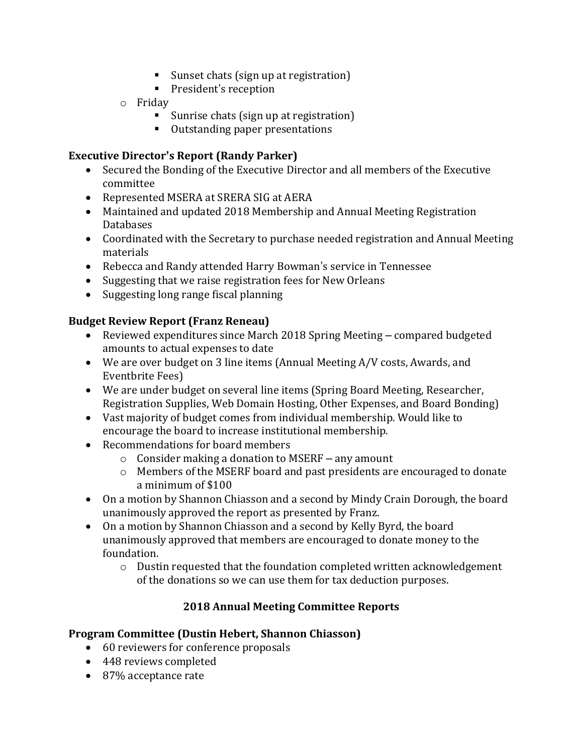- Sunset chats (sign up at registration)
- President's reception
- o Friday
	- Sunrise chats (sign up at registration)
	- Outstanding paper presentations

## **Executive Director's Report (Randy Parker)**

- Secured the Bonding of the Executive Director and all members of the Executive committee
- Represented MSERA at SRERA SIG at AERA
- Maintained and updated 2018 Membership and Annual Meeting Registration Databases
- Coordinated with the Secretary to purchase needed registration and Annual Meeting materials
- Rebecca and Randy attended Harry Bowman's service in Tennessee
- Suggesting that we raise registration fees for New Orleans
- Suggesting long range fiscal planning

# **Budget Review Report (Franz Reneau)**

- Reviewed expenditures since March 2018 Spring Meeting compared budgeted amounts to actual expenses to date
- We are over budget on 3 line items (Annual Meeting A/V costs, Awards, and Eventbrite Fees)
- We are under budget on several line items (Spring Board Meeting, Researcher, Registration Supplies, Web Domain Hosting, Other Expenses, and Board Bonding)
- Vast majority of budget comes from individual membership. Would like to encourage the board to increase institutional membership.
- Recommendations for board members
	- $\circ$  Consider making a donation to MSERF any amount
	- o Members of the MSERF board and past presidents are encouraged to donate a minimum of \$100
- On a motion by Shannon Chiasson and a second by Mindy Crain Dorough, the board unanimously approved the report as presented by Franz.
- On a motion by Shannon Chiasson and a second by Kelly Byrd, the board unanimously approved that members are encouraged to donate money to the foundation.
	- o Dustin requested that the foundation completed written acknowledgement of the donations so we can use them for tax deduction purposes.

# **2018 Annual Meeting Committee Reports**

## **Program Committee (Dustin Hebert, Shannon Chiasson)**

- 60 reviewers for conference proposals
- 448 reviews completed
- 87% acceptance rate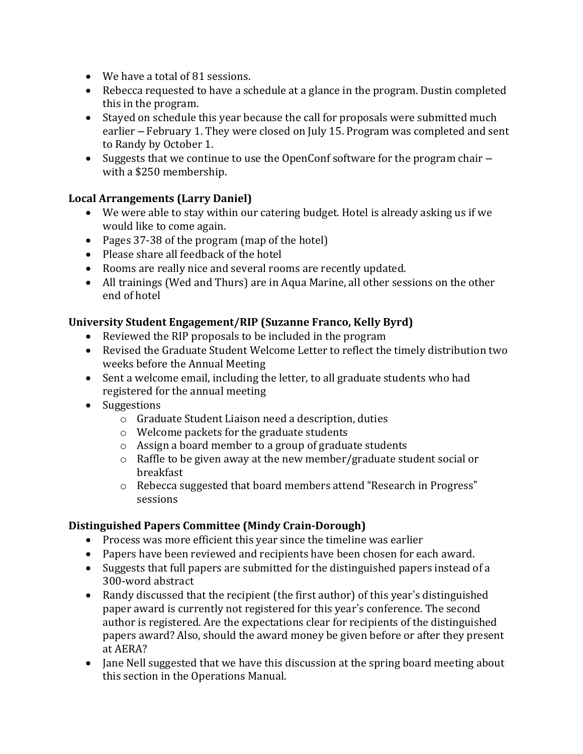- We have a total of 81 sessions.
- Rebecca requested to have a schedule at a glance in the program. Dustin completed this in the program.
- Stayed on schedule this year because the call for proposals were submitted much earlier – February 1. They were closed on July 15. Program was completed and sent to Randy by October 1.
- Suggests that we continue to use the OpenConf software for the program chair with a \$250 membership.

# **Local Arrangements (Larry Daniel)**

- We were able to stay within our catering budget. Hotel is already asking us if we would like to come again.
- Pages 37-38 of the program (map of the hotel)
- Please share all feedback of the hotel
- Rooms are really nice and several rooms are recently updated.
- All trainings (Wed and Thurs) are in Aqua Marine, all other sessions on the other end of hotel

## **University Student Engagement/RIP (Suzanne Franco, Kelly Byrd)**

- Reviewed the RIP proposals to be included in the program
- Revised the Graduate Student Welcome Letter to reflect the timely distribution two weeks before the Annual Meeting
- Sent a welcome email, including the letter, to all graduate students who had registered for the annual meeting
- Suggestions
	- o Graduate Student Liaison need a description, duties
	- o Welcome packets for the graduate students
	- o Assign a board member to a group of graduate students
	- o Raffle to be given away at the new member/graduate student social or breakfast
	- o Rebecca suggested that board members attend "Research in Progress" sessions

## **Distinguished Papers Committee (Mindy Crain-Dorough)**

- Process was more efficient this year since the timeline was earlier
- Papers have been reviewed and recipients have been chosen for each award.
- Suggests that full papers are submitted for the distinguished papers instead of a 300-word abstract
- Randy discussed that the recipient (the first author) of this year's distinguished paper award is currently not registered for this year's conference. The second author is registered. Are the expectations clear for recipients of the distinguished papers award? Also, should the award money be given before or after they present at AERA?
- Jane Nell suggested that we have this discussion at the spring board meeting about this section in the Operations Manual.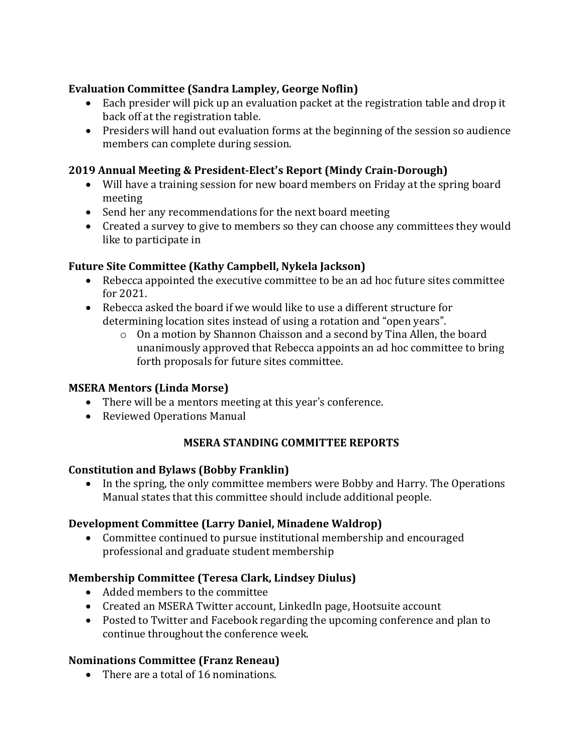## **Evaluation Committee (Sandra Lampley, George Noflin)**

- Each presider will pick up an evaluation packet at the registration table and drop it back off at the registration table.
- Presiders will hand out evaluation forms at the beginning of the session so audience members can complete during session.

# **2019 Annual Meeting & President-Elect's Report (Mindy Crain-Dorough)**

- Will have a training session for new board members on Friday at the spring board meeting
- Send her any recommendations for the next board meeting
- Created a survey to give to members so they can choose any committees they would like to participate in

# **Future Site Committee (Kathy Campbell, Nykela Jackson)**

- Rebecca appointed the executive committee to be an ad hoc future sites committee for 2021.
- Rebecca asked the board if we would like to use a different structure for determining location sites instead of using a rotation and "open years".
	- o On a motion by Shannon Chaisson and a second by Tina Allen, the board unanimously approved that Rebecca appoints an ad hoc committee to bring forth proposals for future sites committee.

## **MSERA Mentors (Linda Morse)**

- There will be a mentors meeting at this year's conference.
- Reviewed Operations Manual

# **MSERA STANDING COMMITTEE REPORTS**

## **Constitution and Bylaws (Bobby Franklin)**

• In the spring, the only committee members were Bobby and Harry. The Operations Manual states that this committee should include additional people.

## **Development Committee (Larry Daniel, Minadene Waldrop)**

• Committee continued to pursue institutional membership and encouraged professional and graduate student membership

## **Membership Committee (Teresa Clark, Lindsey Diulus)**

- Added members to the committee
- Created an MSERA Twitter account, LinkedIn page, Hootsuite account
- Posted to Twitter and Facebook regarding the upcoming conference and plan to continue throughout the conference week.

## **Nominations Committee (Franz Reneau)**

• There are a total of 16 nominations.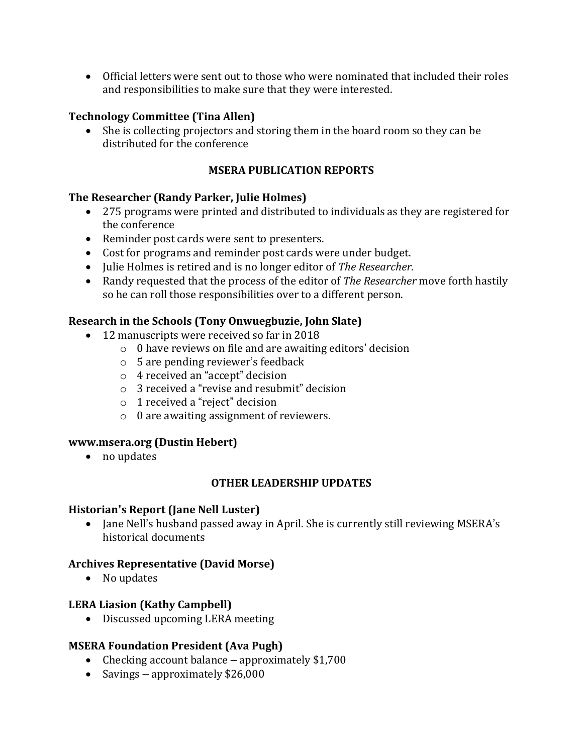• Official letters were sent out to those who were nominated that included their roles and responsibilities to make sure that they were interested.

#### **Technology Committee (Tina Allen)**

• She is collecting projectors and storing them in the board room so they can be distributed for the conference

### **MSERA PUBLICATION REPORTS**

#### **The Researcher (Randy Parker, Julie Holmes)**

- 275 programs were printed and distributed to individuals as they are registered for the conference
- Reminder post cards were sent to presenters.
- Cost for programs and reminder post cards were under budget.
- Julie Holmes is retired and is no longer editor of *The Researcher*.
- Randy requested that the process of the editor of *The Researcher* move forth hastily so he can roll those responsibilities over to a different person.

### **Research in the Schools (Tony Onwuegbuzie, John Slate)**

- 12 manuscripts were received so far in 2018
	- o 0 have reviews on file and are awaiting editors' decision
	- o 5 are pending reviewer's feedback
	- o 4 received an "accept" decision
	- o 3 received a "revise and resubmit" decision
	- o 1 received a "reject" decision
	- o 0 are awaiting assignment of reviewers.

#### **www.msera.org (Dustin Hebert)**

• no updates

#### **OTHER LEADERSHIP UPDATES**

#### **Historian's Report (Jane Nell Luster)**

• Jane Nell's husband passed away in April. She is currently still reviewing MSERA's historical documents

#### **Archives Representative (David Morse)**

• No updates

#### **LERA Liasion (Kathy Campbell)**

• Discussed upcoming LERA meeting

#### **MSERA Foundation President (Ava Pugh)**

- Checking account balance approximately \$1,700
- Savings approximately \$26,000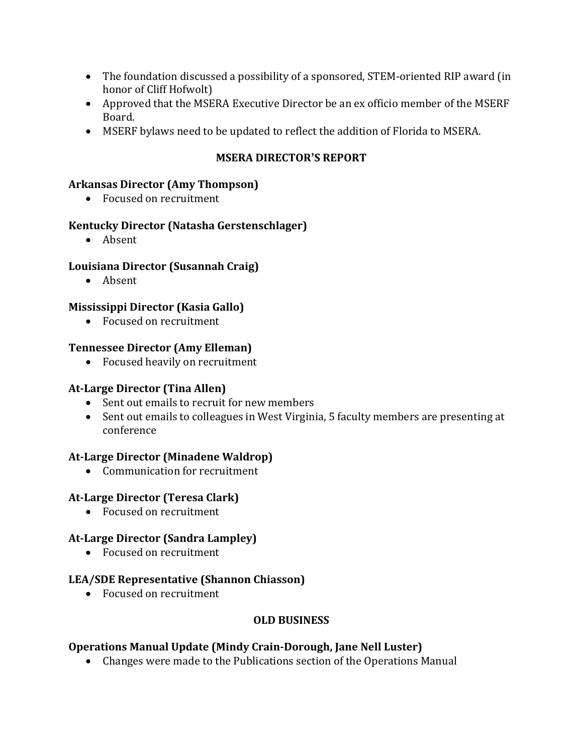- The foundation discussed a possibility of a sponsored, STEM-oriented RIP award (in honor of Cliff Hofwolt)
- Approved that the MSERA Executive Director be an ex officio member of the MSERF Board.
- MSERF bylaws need to be updated to reflect the addition of Florida to MSERA.

# **MSERA DIRECTOR'S REPORT**

## **Arkansas Director (Amy Thompson)**

• Focused on recruitment

### **Kentucky Director (Natasha Gerstenschlager)**

• Absent

### **Louisiana Director (Susannah Craig)**

• Absent

### **Mississippi Director (Kasia Gallo)**

• Focused on recruitment

### **Tennessee Director (Amy Elleman)**

• Focused heavily on recruitment

## **At-Large Director (Tina Allen)**

- Sent out emails to recruit for new members
- Sent out emails to colleagues in West Virginia, 5 faculty members are presenting at conference

## **At-Large Director (Minadene Waldrop)**

• Communication for recruitment

## **At-Large Director (Teresa Clark)**

• Focused on recruitment

## **At-Large Director (Sandra Lampley)**

• Focused on recruitment

#### **LEA/SDE Representative (Shannon Chiasson)**

• Focused on recruitment

## **OLD BUSINESS**

## **Operations Manual Update (Mindy Crain-Dorough, Jane Nell Luster)**

• Changes were made to the Publications section of the Operations Manual